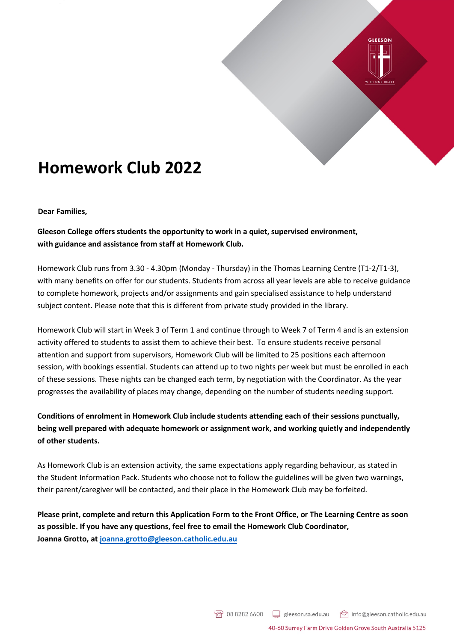

## **Homework Club 2022**

## **Dear Families,**

**Gleeson College offers students the opportunity to work in a quiet, supervised environment, with guidance and assistance from staff at Homework Club.** 

Homework Club runs from 3.30 - 4.30pm (Monday - Thursday) in the Thomas Learning Centre (T1-2/T1-3), with many benefits on offer for our students. Students from across all year levels are able to receive guidance to complete homework, projects and/or assignments and gain specialised assistance to help understand subject content. Please note that this is different from private study provided in the library.

Homework Club will start in Week 3 of Term 1 and continue through to Week 7 of Term 4 and is an extension activity offered to students to assist them to achieve their best. To ensure students receive personal attention and support from supervisors, Homework Club will be limited to 25 positions each afternoon session, with bookings essential. Students can attend up to two nights per week but must be enrolled in each of these sessions. These nights can be changed each term, by negotiation with the Coordinator. As the year progresses the availability of places may change, depending on the number of students needing support.

**Conditions of enrolment in Homework Club include students attending each of their sessions punctually, being well prepared with adequate homework or assignment work, and working quietly and independently of other students.** 

As Homework Club is an extension activity, the same expectations apply regarding behaviour, as stated in the Student Information Pack. Students who choose not to follow the guidelines will be given two warnings, their parent/caregiver will be contacted, and their place in the Homework Club may be forfeited.

**Please print, complete and return this Application Form to the Front Office, or The Learning Centre as soon as possible. If you have any questions, feel free to email the Homework Club Coordinator, Joanna Grotto, at joanna.grotto@gleeson.catholic.edu.au**